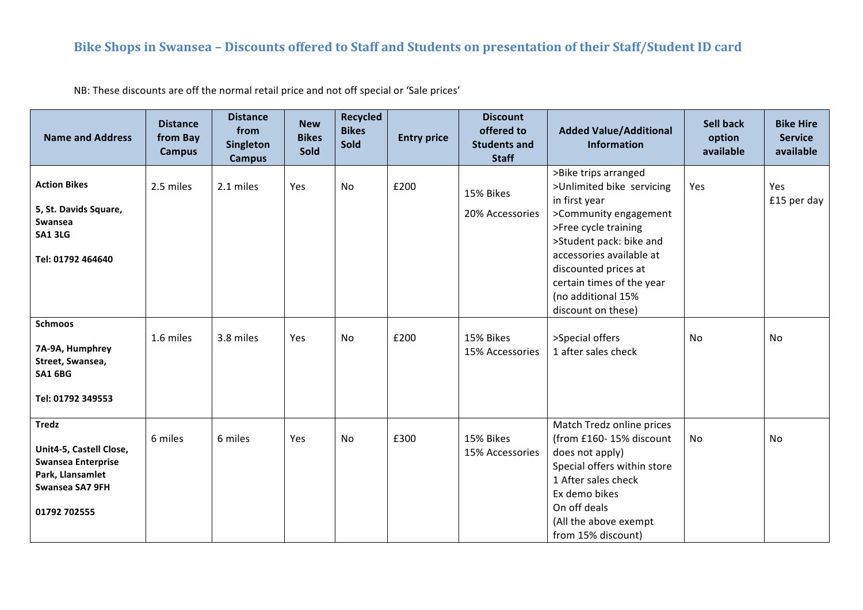## Bike Shops in Swansea - Discounts offered to Staff and Students on presentation of their Staff/Student ID card

NB: These discounts are off the normal retail price and not off special or 'Sale prices'

| <b>Name and Address</b>                                                                                                     | <b>Distance</b><br>from Bay<br><b>Campus</b> | <b>Distance</b><br>from<br>Singleton<br>Campus | <b>New</b><br><b>Bikes</b><br>Sold | <b>Recycled</b><br><b>Bikes</b><br>Sold | <b>Entry price</b> | <b>Discount</b><br>offered to<br><b>Students and</b><br><b>Staff</b> | <b>Added Value/Additional</b><br><b>Information</b>                                                                                                                                                                                                                         | <b>Sell back</b><br>option<br>available | <b>Bike Hire</b><br><b>Service</b><br>available |
|-----------------------------------------------------------------------------------------------------------------------------|----------------------------------------------|------------------------------------------------|------------------------------------|-----------------------------------------|--------------------|----------------------------------------------------------------------|-----------------------------------------------------------------------------------------------------------------------------------------------------------------------------------------------------------------------------------------------------------------------------|-----------------------------------------|-------------------------------------------------|
| <b>Action Bikes</b><br>5, St. Davids Square,<br>Swansea<br><b>SA1 3LG</b><br>Tel: 01792 464640                              | 2.5 miles                                    | 2.1 miles                                      | Yes                                | No                                      | £200               | 15% Bikes<br>20% Accessories                                         | >Bike trips arranged<br>>Unlimited bike servicing<br>in first year<br>>Community engagement<br>>Free cycle training<br>>Student pack: bike and<br>accessories available at<br>discounted prices at<br>certain times of the year<br>(no additional 15%<br>discount on these) | Yes                                     | Yes<br>£15 per day                              |
| <b>Schmoos</b><br>7A-9A, Humphrey<br>Street, Swansea,<br><b>SA1 6BG</b><br>Tel: 01792 349553                                | 1.6 miles                                    | 3.8 miles                                      | Yes                                | No                                      | £200               | 15% Bikes<br>15% Accessories                                         | >Special offers<br>1 after sales check                                                                                                                                                                                                                                      | No.                                     | <b>No</b>                                       |
| <b>Tredz</b><br>Unit4-5, Castell Close,<br><b>Swansea Enterprise</b><br>Park, Llansamlet<br>Swansea SA7 9FH<br>01792 702555 | 6 miles                                      | 6 miles                                        | Yes                                | No                                      | £300               | 15% Bikes<br>15% Accessories                                         | Match Tredz online prices<br>(from £160-15% discount<br>does not apply)<br>Special offers within store<br>1 After sales check<br>Ex demo bikes<br>On off deals<br>(All the above exempt<br>from 15% discount)                                                               | No.                                     | No                                              |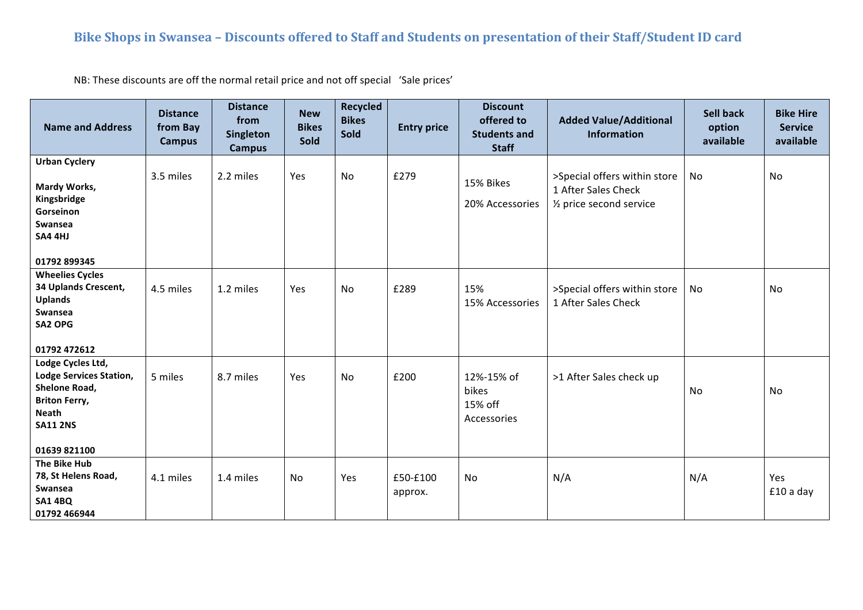## Bike Shops in Swansea - Discounts offered to Staff and Students on presentation of their Staff/Student ID card

NB: These discounts are off the normal retail price and not off special 'Sale prices'

| <b>Name and Address</b>                                                                                                                         | <b>Distance</b><br>from Bay<br><b>Campus</b> | <b>Distance</b><br>from<br>Singleton<br><b>Campus</b> | <b>New</b><br><b>Bikes</b><br>Sold | Recycled<br><b>Bikes</b><br>Sold | <b>Entry price</b>  | <b>Discount</b><br>offered to<br><b>Students and</b><br><b>Staff</b> | <b>Added Value/Additional</b><br><b>Information</b>                                         | <b>Sell back</b><br>option<br>available | <b>Bike Hire</b><br><b>Service</b><br>available |
|-------------------------------------------------------------------------------------------------------------------------------------------------|----------------------------------------------|-------------------------------------------------------|------------------------------------|----------------------------------|---------------------|----------------------------------------------------------------------|---------------------------------------------------------------------------------------------|-----------------------------------------|-------------------------------------------------|
| <b>Urban Cyclery</b><br>Mardy Works,<br>Kingsbridge<br>Gorseinon<br>Swansea<br>SA4 4HJ<br>01792 899345                                          | 3.5 miles                                    | 2.2 miles                                             | Yes                                | <b>No</b>                        | £279                | 15% Bikes<br>20% Accessories                                         | >Special offers within store<br>1 After Sales Check<br>1/ <sub>2</sub> price second service | No                                      | No                                              |
| <b>Wheelies Cycles</b><br>34 Uplands Crescent,<br><b>Uplands</b><br>Swansea<br>SA2 OPG<br>01792 472612                                          | 4.5 miles                                    | 1.2 miles                                             | Yes                                | <b>No</b>                        | £289                | 15%<br>15% Accessories                                               | >Special offers within store<br>1 After Sales Check                                         | No                                      | <b>No</b>                                       |
| Lodge Cycles Ltd,<br><b>Lodge Services Station,</b><br>Shelone Road,<br><b>Briton Ferry,</b><br><b>Neath</b><br><b>SA11 2NS</b><br>01639 821100 | 5 miles                                      | 8.7 miles                                             | Yes                                | No                               | £200                | 12%-15% of<br>bikes<br>15% off<br>Accessories                        | >1 After Sales check up                                                                     | No                                      | No                                              |
| <b>The Bike Hub</b><br>78, St Helens Road,<br>Swansea<br><b>SA1 4BQ</b><br>01792 466944                                                         | 4.1 miles                                    | 1.4 miles                                             | No                                 | Yes                              | £50-£100<br>approx. | No                                                                   | N/A                                                                                         | N/A                                     | Yes<br>£10 a day                                |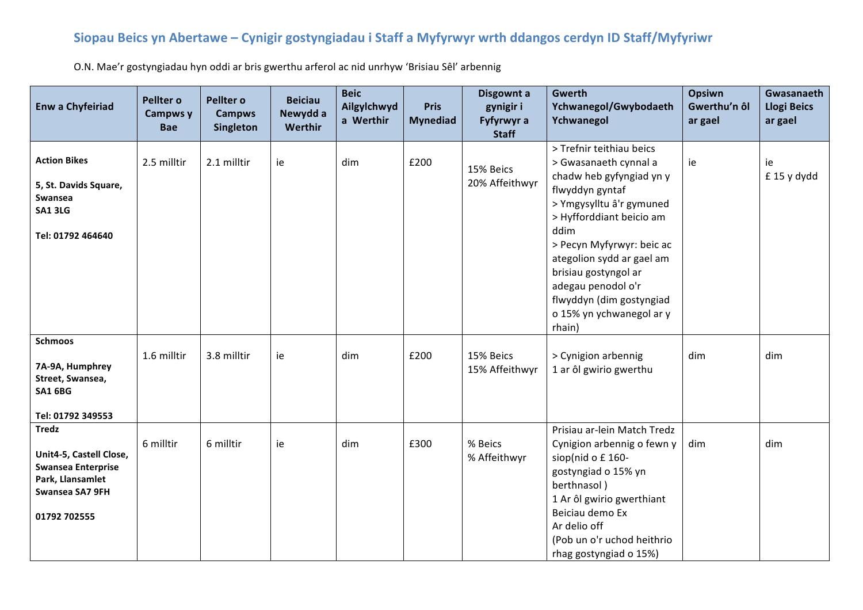## Siopau Beics yn Abertawe - Cynigir gostyngiadau i Staff a Myfyrwyr wrth ddangos cerdyn ID Staff/Myfyriwr

O.N. Mae'r gostyngiadau hyn oddi ar bris gwerthu arferol ac nid unrhyw 'Brisiau Sêl' arbennig

| <b>Enw a Chyfeiriad</b>                                                                                                     | Pellter o<br>Campws y<br><b>Bae</b> | Pellter o<br><b>Campws</b><br><b>Singleton</b> | <b>Beiciau</b><br>Newydd a<br>Werthir | <b>Beic</b><br>Ailgylchwyd<br>a Werthir | <b>Pris</b><br><b>Mynediad</b> | Disgownt a<br>gynigir i<br>Fyfyrwyr a<br><b>Staff</b> | <b>Gwerth</b><br>Ychwanegol/Gwybodaeth<br>Ychwanegol                                                                                                                                                                                                                                                                                       | Opsiwn<br>Gwerthu'n ôl<br>ar gael | Gwasanaeth<br><b>Llogi Beics</b><br>ar gael |
|-----------------------------------------------------------------------------------------------------------------------------|-------------------------------------|------------------------------------------------|---------------------------------------|-----------------------------------------|--------------------------------|-------------------------------------------------------|--------------------------------------------------------------------------------------------------------------------------------------------------------------------------------------------------------------------------------------------------------------------------------------------------------------------------------------------|-----------------------------------|---------------------------------------------|
| <b>Action Bikes</b><br>5, St. Davids Square,<br>Swansea<br><b>SA1 3LG</b><br>Tel: 01792 464640                              | 2.5 milltir                         | 2.1 milltir                                    | ie                                    | dim                                     | £200                           | 15% Beics<br>20% Affeithwyr                           | > Trefnir teithiau beics<br>> Gwasanaeth cynnal a<br>chadw heb gyfyngiad yn y<br>flwyddyn gyntaf<br>> Ymgysylltu â'r gymuned<br>> Hyfforddiant beicio am<br>ddim<br>> Pecyn Myfyrwyr: beic ac<br>ategolion sydd ar gael am<br>brisiau gostyngol ar<br>adegau penodol o'r<br>flwyddyn (dim gostyngiad<br>o 15% yn ychwanegol ar y<br>rhain) | ie                                | ie<br>£ 15 y dydd                           |
| <b>Schmoos</b><br>7A-9A, Humphrey<br>Street, Swansea,<br><b>SA1 6BG</b><br>Tel: 01792 349553                                | 1.6 milltir                         | 3.8 milltir                                    | ie                                    | dim                                     | £200                           | 15% Beics<br>15% Affeithwyr                           | > Cynigion arbennig<br>1 ar ôl gwirio gwerthu                                                                                                                                                                                                                                                                                              | dim                               | dim                                         |
| <b>Tredz</b><br>Unit4-5, Castell Close,<br><b>Swansea Enterprise</b><br>Park, Llansamlet<br>Swansea SA7 9FH<br>01792 702555 | 6 milltir                           | 6 milltir                                      | ie                                    | dim                                     | £300                           | % Beics<br>% Affeithwyr                               | Prisiau ar-lein Match Tredz<br>Cynigion arbennig o fewn y<br>siop(nid o £160-<br>gostyngiad o 15% yn<br>berthnasol)<br>1 Ar ôl gwirio gwerthiant<br>Beiciau demo Ex<br>Ar delio off<br>(Pob un o'r uchod heithrio<br>rhag gostyngiad o 15%)                                                                                                | dim                               | dim                                         |